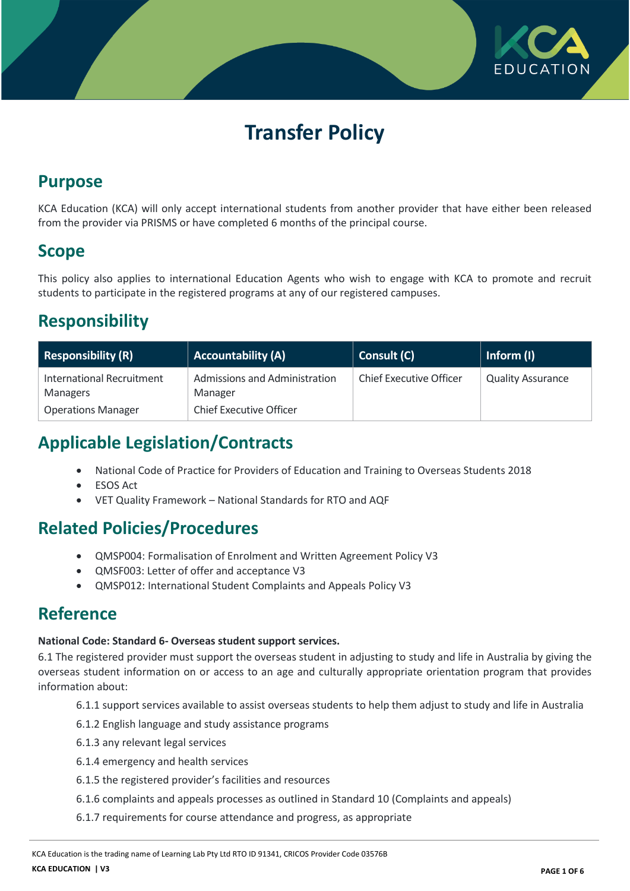

# **Transfer Policy**

## **Purpose**

KCA Education (KCA) will only accept international students from another provider that have either been released from the provider via PRISMS or have completed 6 months of the principal course.

# **Scope**

This policy also applies to international Education Agents who wish to engage with KCA to promote and recruit students to participate in the registered programs at any of our registered campuses.

# **Responsibility**

| Responsibility (R)                                                        | <b>Accountability (A)</b>                                                  | Consult (C)                    | Inform (I)               |
|---------------------------------------------------------------------------|----------------------------------------------------------------------------|--------------------------------|--------------------------|
| International Recruitment<br><b>Managers</b><br><b>Operations Manager</b> | Admissions and Administration<br>Manager<br><b>Chief Executive Officer</b> | <b>Chief Executive Officer</b> | <b>Quality Assurance</b> |

# **Applicable Legislation/Contracts**

- National Code of Practice for Providers of Education and Training to Overseas Students 2018
- ESOS Act
- VET Quality Framework National Standards for RTO and AQF

# **Related Policies/Procedures**

- QMSP004: Formalisation of Enrolment and Written Agreement Policy V3
- QMSF003: Letter of offer and acceptance V3
- QMSP012: International Student Complaints and Appeals Policy V3

## **Reference**

### **National Code: Standard 6- Overseas student support services.**

6.1 The registered provider must support the overseas student in adjusting to study and life in Australia by giving the overseas student information on or access to an age and culturally appropriate orientation program that provides information about:

- 6.1.1 support services available to assist overseas students to help them adjust to study and life in Australia
- 6.1.2 English language and study assistance programs
- 6.1.3 any relevant legal services
- 6.1.4 emergency and health services
- 6.1.5 the registered provider's facilities and resources
- 6.1.6 complaints and appeals processes as outlined in Standard 10 (Complaints and appeals)
- 6.1.7 requirements for course attendance and progress, as appropriate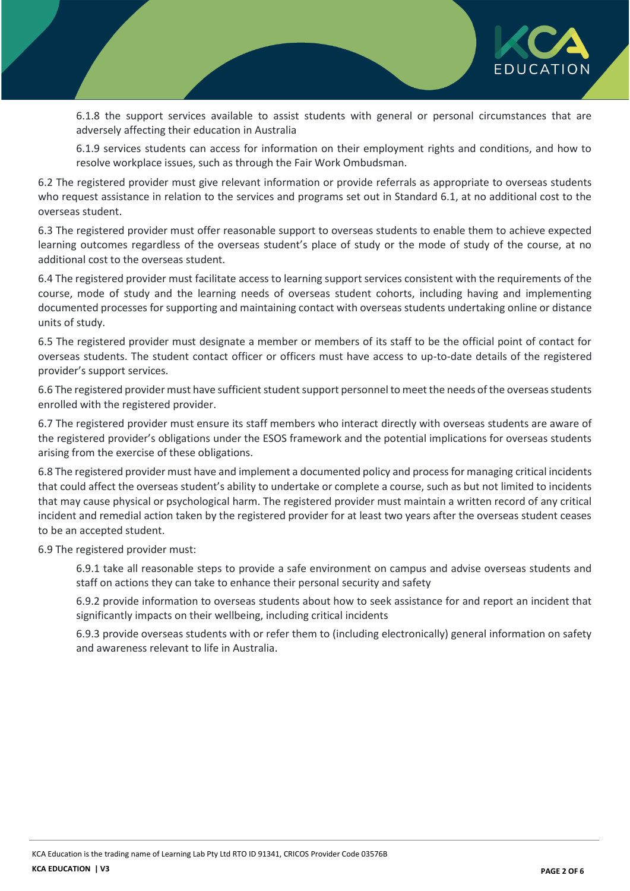

6.1.8 the support services available to assist students with general or personal circumstances that are adversely affecting their education in Australia

6.1.9 services students can access for information on their employment rights and conditions, and how to resolve workplace issues, such as through the Fair Work Ombudsman.

6.2 The registered provider must give relevant information or provide referrals as appropriate to overseas students who request assistance in relation to the services and programs set out in Standard 6.1, at no additional cost to the overseas student.

6.3 The registered provider must offer reasonable support to overseas students to enable them to achieve expected learning outcomes regardless of the overseas student's place of study or the mode of study of the course, at no additional cost to the overseas student.

6.4 The registered provider must facilitate access to learning support services consistent with the requirements of the course, mode of study and the learning needs of overseas student cohorts, including having and implementing documented processes for supporting and maintaining contact with overseas students undertaking online or distance units of study.

6.5 The registered provider must designate a member or members of its staff to be the official point of contact for overseas students. The student contact officer or officers must have access to up-to-date details of the registered provider's support services.

6.6 The registered provider must have sufficient student support personnel to meet the needs of the overseas students enrolled with the registered provider.

6.7 The registered provider must ensure its staff members who interact directly with overseas students are aware of the registered provider's obligations under the ESOS framework and the potential implications for overseas students arising from the exercise of these obligations.

6.8 The registered provider must have and implement a documented policy and process for managing critical incidents that could affect the overseas student's ability to undertake or complete a course, such as but not limited to incidents that may cause physical or psychological harm. The registered provider must maintain a written record of any critical incident and remedial action taken by the registered provider for at least two years after the overseas student ceases to be an accepted student.

6.9 The registered provider must:

6.9.1 take all reasonable steps to provide a safe environment on campus and advise overseas students and staff on actions they can take to enhance their personal security and safety

6.9.2 provide information to overseas students about how to seek assistance for and report an incident that significantly impacts on their wellbeing, including critical incidents

6.9.3 provide overseas students with or refer them to (including electronically) general information on safety and awareness relevant to life in Australia.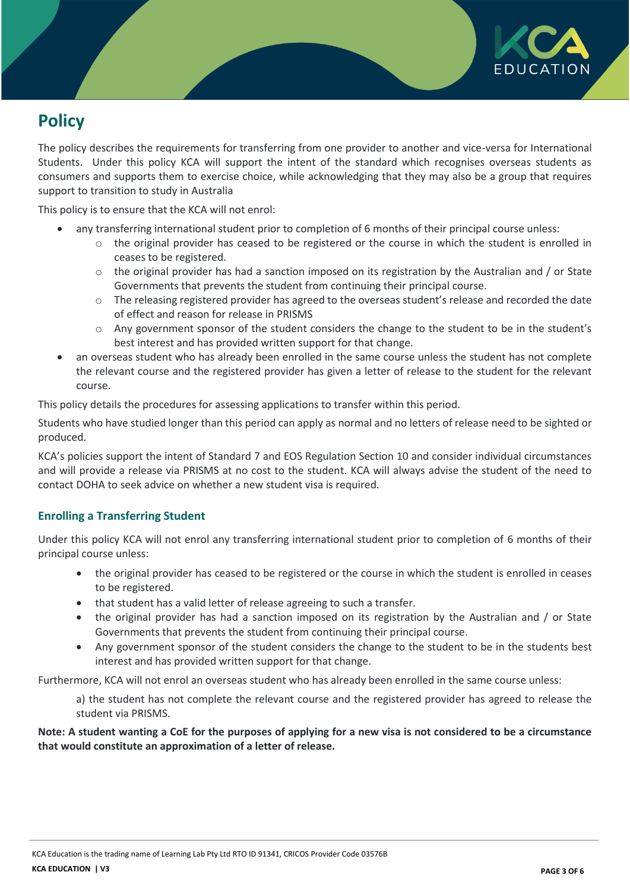

# **Policy**

The policy describes the requirements for transferring from one provider to another and vice-versa for International Students. Under this policy KCA will support the intent of the standard which recognises overseas students as consumers and supports them to exercise choice, while acknowledging that they may also be a group that requires support to transition to study in Australia

This policy is to ensure that the KCA will not enrol:

- any transferring international student prior to completion of 6 months of their principal course unless:
	- $\circ$  the original provider has ceased to be registered or the course in which the student is enrolled in ceases to be registered.
	- $\circ$  the original provider has had a sanction imposed on its registration by the Australian and / or State Governments that prevents the student from continuing their principal course.
	- $\circ$  The releasing registered provider has agreed to the overseas student's release and recorded the date of effect and reason for release in PRISMS
	- o Any government sponsor of the student considers the change to the student to be in the student's best interest and has provided written support for that change.
- an overseas student who has already been enrolled in the same course unless the student has not complete the relevant course and the registered provider has given a letter of release to the student for the relevant course.

This policy details the procedures for assessing applications to transfer within this period.

Students who have studied longer than this period can apply as normal and no letters of release need to be sighted or produced.

KCA's policies support the intent of Standard 7 and EOS Regulation Section 10 and consider individual circumstances and will provide a release via PRISMS at no cost to the student. KCA will always advise the student of the need to contact DOHA to seek advice on whether a new student visa is required.

### **Enrolling a Transferring Student**

Under this policy KCA will not enrol any transferring international student prior to completion of 6 months of their principal course unless:

- the original provider has ceased to be registered or the course in which the student is enrolled in ceases to be registered.
- that student has a valid letter of release agreeing to such a transfer.
- the original provider has had a sanction imposed on its registration by the Australian and / or State Governments that prevents the student from continuing their principal course.
- Any government sponsor of the student considers the change to the student to be in the students best interest and has provided written support for that change.

Furthermore, KCA will not enrol an overseas student who has already been enrolled in the same course unless:

a) the student has not complete the relevant course and the registered provider has agreed to release the student via PRISMS.

**Note: A student wanting a CoE for the purposes of applying for a new visa is not considered to be a circumstance that would constitute an approximation of a letter of release.**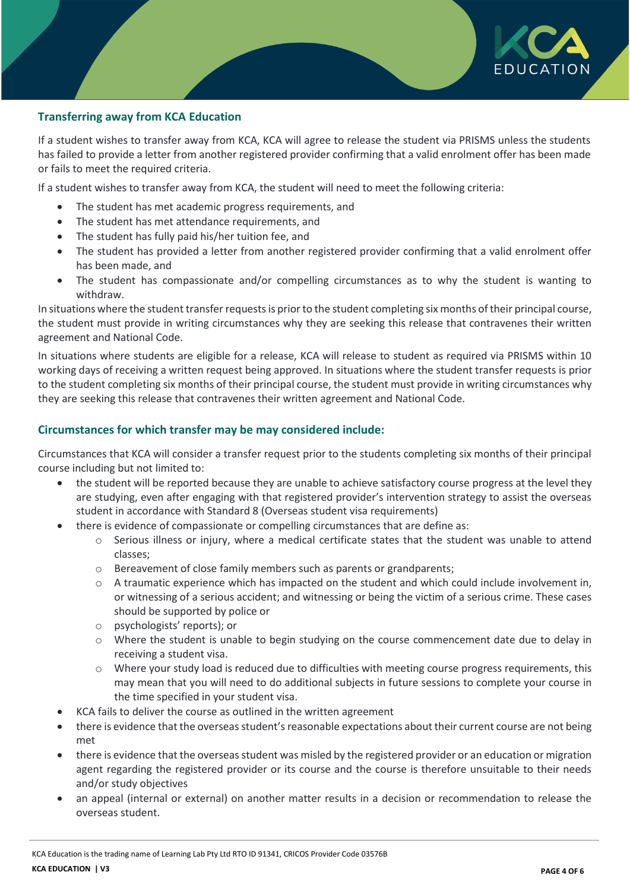

### **Transferring away from KCA Education**

If a student wishes to transfer away from KCA, KCA will agree to release the student via PRISMS unless the students has failed to provide a letter from another registered provider confirming that a valid enrolment offer has been made or fails to meet the required criteria.

If a student wishes to transfer away from KCA, the student will need to meet the following criteria:

- The student has met academic progress requirements, and
- The student has met attendance requirements, and
- The student has fully paid his/her tuition fee, and
- The student has provided a letter from another registered provider confirming that a valid enrolment offer has been made, and
- The student has compassionate and/or compelling circumstances as to why the student is wanting to withdraw.

In situations where the student transfer requests is prior to the student completing six months of their principal course, the student must provide in writing circumstances why they are seeking this release that contravenes their written agreement and National Code.

In situations where students are eligible for a release, KCA will release to student as required via PRISMS within 10 working days of receiving a written request being approved. In situations where the student transfer requests is prior to the student completing six months of their principal course, the student must provide in writing circumstances why they are seeking this release that contravenes their written agreement and National Code.

#### **Circumstances for which transfer may be may considered include:**

Circumstances that KCA will consider a transfer request prior to the students completing six months of their principal course including but not limited to:

- the student will be reported because they are unable to achieve satisfactory course progress at the level they are studying, even after engaging with that registered provider's intervention strategy to assist the overseas student in accordance with Standard 8 (Overseas student visa requirements)
- there is evidence of compassionate or compelling circumstances that are define as:
	- $\circ$  Serious illness or injury, where a medical certificate states that the student was unable to attend classes;
	- o Bereavement of close family members such as parents or grandparents;
	- o A traumatic experience which has impacted on the student and which could include involvement in, or witnessing of a serious accident; and witnessing or being the victim of a serious crime. These cases should be supported by police or
	- o psychologists' reports); or
	- o Where the student is unable to begin studying on the course commencement date due to delay in receiving a student visa.
	- $\circ$  Where your study load is reduced due to difficulties with meeting course progress requirements, this may mean that you will need to do additional subjects in future sessions to complete your course in the time specified in your student visa.
- KCA fails to deliver the course as outlined in the written agreement
- there is evidence that the overseas student's reasonable expectations about their current course are not being met
- there is evidence that the overseas student was misled by the registered provider or an education or migration agent regarding the registered provider or its course and the course is therefore unsuitable to their needs and/or study objectives
- an appeal (internal or external) on another matter results in a decision or recommendation to release the overseas student.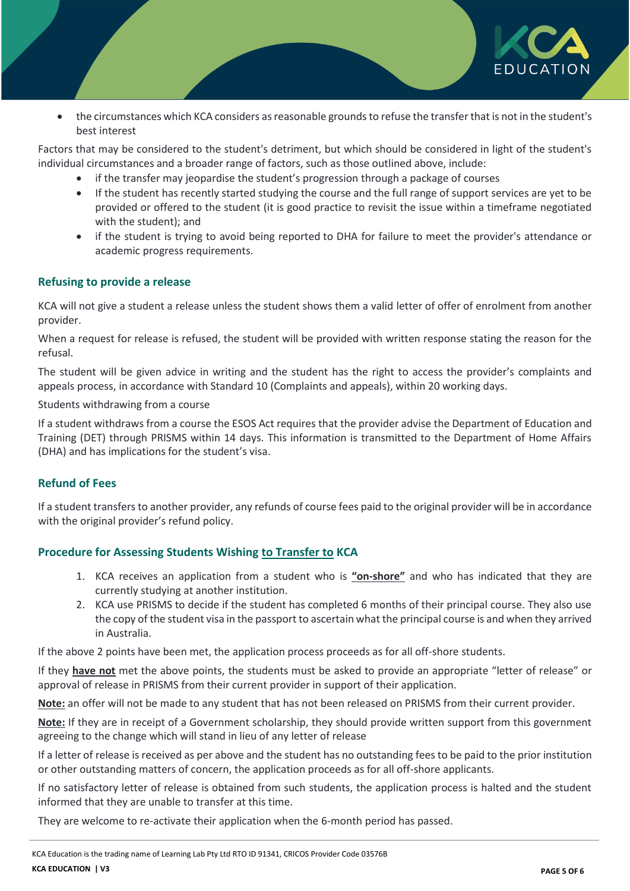

 the circumstances which KCA considers as reasonable grounds to refuse the transfer that is not in the student's best interest

Factors that may be considered to the student's detriment, but which should be considered in light of the student's individual circumstances and a broader range of factors, such as those outlined above, include:

- if the transfer may jeopardise the student's progression through a package of courses
- If the student has recently started studying the course and the full range of support services are yet to be provided or offered to the student (it is good practice to revisit the issue within a timeframe negotiated with the student); and
- if the student is trying to avoid being reported to DHA for failure to meet the provider's attendance or academic progress requirements.

### **Refusing to provide a release**

KCA will not give a student a release unless the student shows them a valid letter of offer of enrolment from another provider.

When a request for release is refused, the student will be provided with written response stating the reason for the refusal.

The student will be given advice in writing and the student has the right to access the provider's complaints and appeals process, in accordance with Standard 10 (Complaints and appeals), within 20 working days.

#### Students withdrawing from a course

If a student withdraws from a course the ESOS Act requires that the provider advise the Department of Education and Training (DET) through PRISMS within 14 days. This information is transmitted to the Department of Home Affairs (DHA) and has implications for the student's visa.

### **Refund of Fees**

If a student transfers to another provider, any refunds of course fees paid to the original provider will be in accordance with the original provider's refund policy.

### **Procedure for Assessing Students Wishing to Transfer to KCA**

- 1. KCA receives an application from a student who is **"on-shore"** and who has indicated that they are currently studying at another institution.
- 2. KCA use PRISMS to decide if the student has completed 6 months of their principal course. They also use the copy of the student visa in the passport to ascertain what the principal course is and when they arrived in Australia.

If the above 2 points have been met, the application process proceeds as for all off-shore students.

If they **have not** met the above points, the students must be asked to provide an appropriate "letter of release" or approval of release in PRISMS from their current provider in support of their application.

**Note:** an offer will not be made to any student that has not been released on PRISMS from their current provider.

**Note:** If they are in receipt of a Government scholarship, they should provide written support from this government agreeing to the change which will stand in lieu of any letter of release

If a letter of release is received as per above and the student has no outstanding fees to be paid to the prior institution or other outstanding matters of concern, the application proceeds as for all off-shore applicants.

If no satisfactory letter of release is obtained from such students, the application process is halted and the student informed that they are unable to transfer at this time.

They are welcome to re-activate their application when the 6-month period has passed.